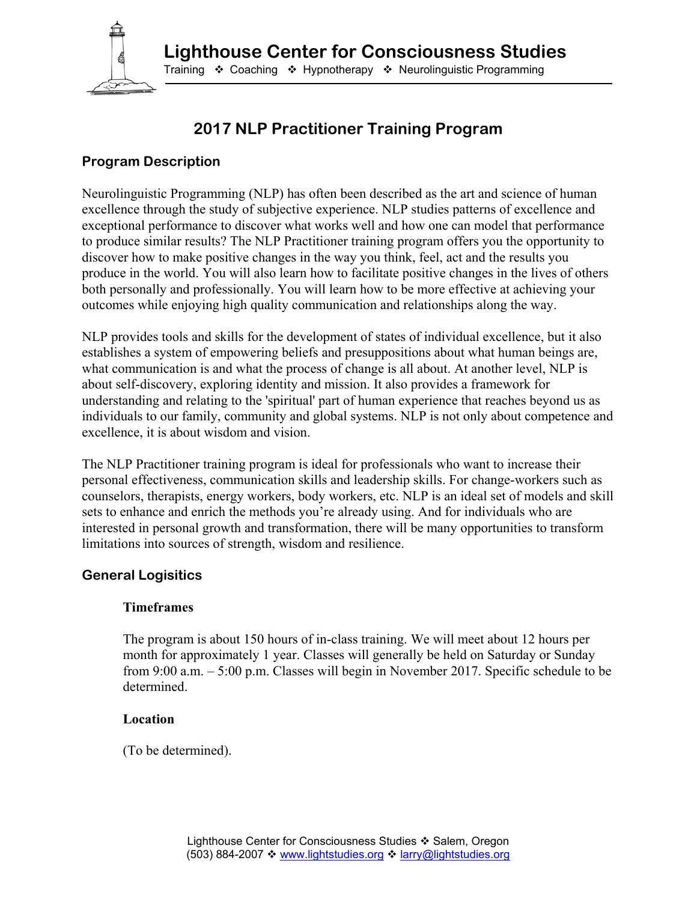

# **2017 NLP Practitioner Training Program**

# **Program Description**

Neurolinguistic Programming (NLP) has often been described as the art and science of human excellence through the study of subjective experience. NLP studies patterns of excellence and exceptional performance to discover what works well and how one can model that performance to produce similar results? The NLP Practitioner training program offers you the opportunity to discover how to make positive changes in the way you think, feel, act and the results you produce in the world. You will also learn how to facilitate positive changes in the lives of others both personally and professionally. You will learn how to be more effective at achieving your outcomes while enjoying high quality communication and relationships along the way.

NLP provides tools and skills for the development of states of individual excellence, but it also establishes a system of empowering beliefs and presuppositions about what human beings are, what communication is and what the process of change is all about. At another level, NLP is about self-discovery, exploring identity and mission. It also provides a framework for understanding and relating to the 'spiritual' part of human experience that reaches beyond us as individuals to our family, community and global systems. NLP is not only about competence and excellence, it is about wisdom and vision.

The NLP Practitioner training program is ideal for professionals who want to increase their personal effectiveness, communication skills and leadership skills. For change-workers such as counselors, therapists, energy workers, body workers, etc. NLP is an ideal set of models and skill sets to enhance and enrich the methods you're already using. And for individuals who are interested in personal growth and transformation, there will be many opportunities to transform limitations into sources of strength, wisdom and resilience.

#### **General Logisitics**

#### **Timeframes**

The program is about 150 hours of in-class training. We will meet about 12 hours per month for approximately 1 year. Classes will generally be held on Saturday or Sunday from 9:00 a.m. – 5:00 p.m. Classes will begin in November 2017. Specific schedule to be determined.

#### **Location**

(To be determined).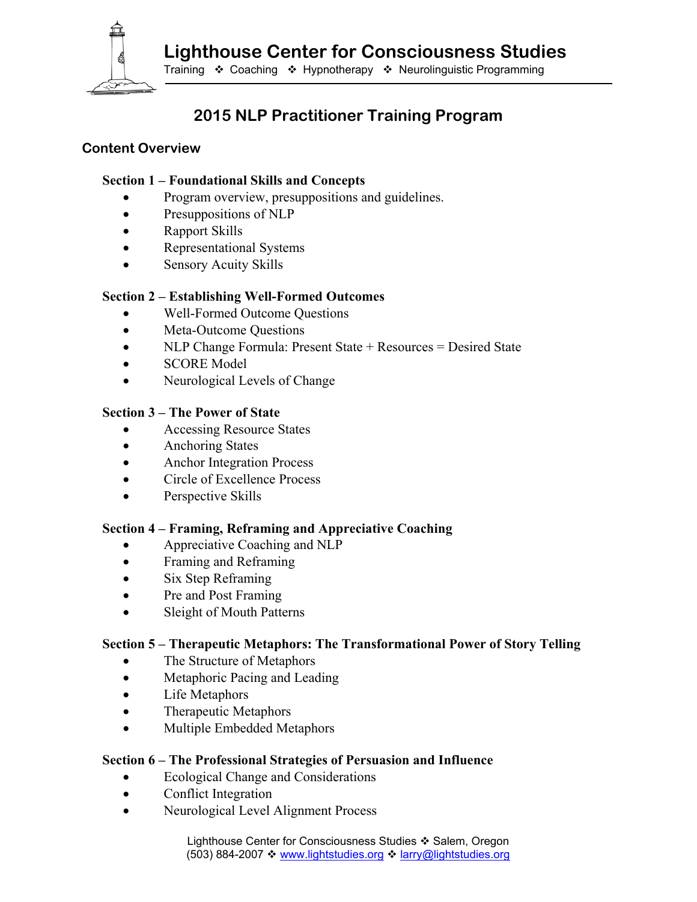**Lighthouse Center for Consciousness Studies** 



Training ❖ Coaching ❖ Hypnotherapy ❖ Neurolinguistic Programming

# **2015 NLP Practitioner Training Program**

## **Content Overview**

#### **Section 1 – Foundational Skills and Concepts**

- Program overview, presuppositions and guidelines.
- Presuppositions of NLP
- Rapport Skills
- Representational Systems
- Sensory Acuity Skills

## **Section 2 – Establishing Well-Formed Outcomes**

- Well-Formed Outcome Questions
- Meta-Outcome Questions
- NLP Change Formula: Present State + Resources = Desired State
- SCORE Model
- Neurological Levels of Change

#### **Section 3 – The Power of State**

- Accessing Resource States
- Anchoring States
- Anchor Integration Process
- Circle of Excellence Process
- Perspective Skills

#### **Section 4 – Framing, Reframing and Appreciative Coaching**

- Appreciative Coaching and NLP
- Framing and Reframing
- Six Step Reframing
- Pre and Post Framing
- Sleight of Mouth Patterns

# **Section 5 – Therapeutic Metaphors: The Transformational Power of Story Telling**

- The Structure of Metaphors
- Metaphoric Pacing and Leading
- Life Metaphors
- Therapeutic Metaphors
- Multiple Embedded Metaphors

#### **Section 6 – The Professional Strategies of Persuasion and Influence**

- Ecological Change and Considerations
- Conflict Integration
- Neurological Level Alignment Process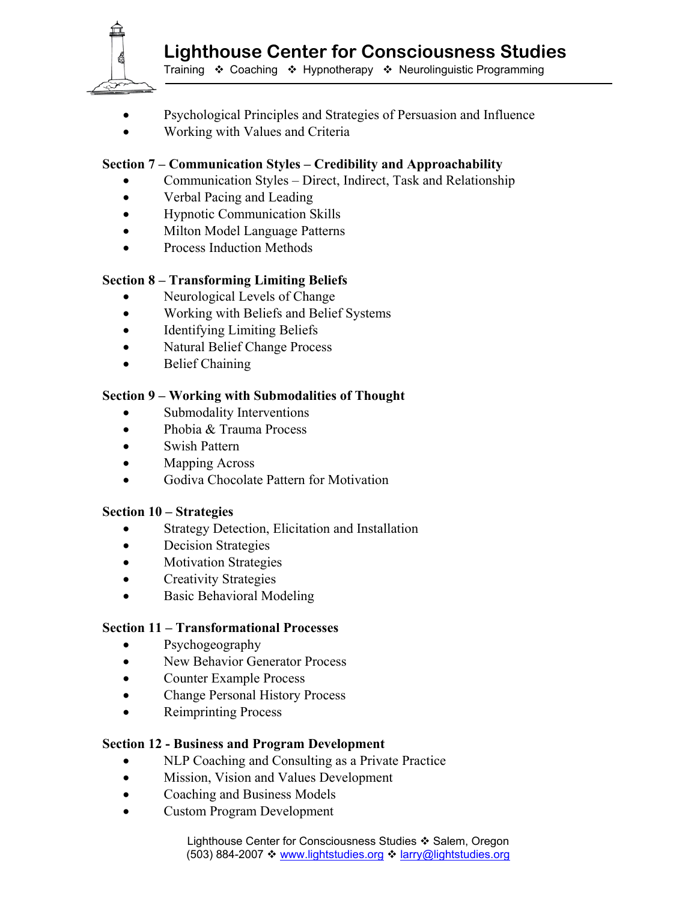

- Psychological Principles and Strategies of Persuasion and Influence
- Working with Values and Criteria

# **Section 7 – Communication Styles – Credibility and Approachability**

- Communication Styles Direct, Indirect, Task and Relationship
- Verbal Pacing and Leading
- Hypnotic Communication Skills
- Milton Model Language Patterns
- Process Induction Methods

## **Section 8 – Transforming Limiting Beliefs**

- Neurological Levels of Change
- Working with Beliefs and Belief Systems
- Identifying Limiting Beliefs
- Natural Belief Change Process
- Belief Chaining

#### **Section 9 – Working with Submodalities of Thought**

- Submodality Interventions
- Phobia & Trauma Process
- Swish Pattern
- Mapping Across
- Godiva Chocolate Pattern for Motivation

#### **Section 10 – Strategies**

- Strategy Detection, Elicitation and Installation
- Decision Strategies
- Motivation Strategies
- Creativity Strategies
- Basic Behavioral Modeling

#### **Section 11 – Transformational Processes**

- Psychogeography
- New Behavior Generator Process
- Counter Example Process
- Change Personal History Process
- Reimprinting Process

#### **Section 12 - Business and Program Development**

- NLP Coaching and Consulting as a Private Practice
- Mission, Vision and Values Development
- Coaching and Business Models
- Custom Program Development